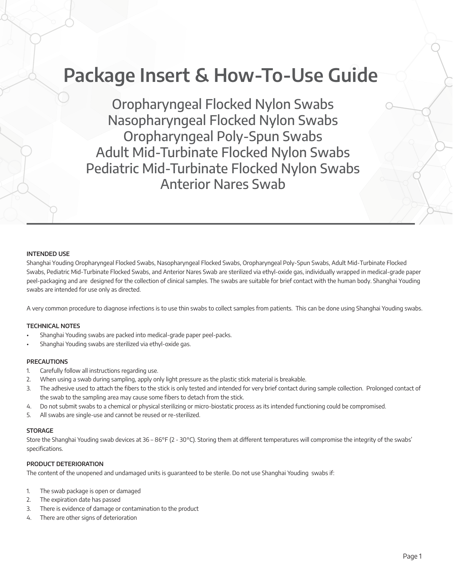# **Package Insert & How-To-Use Guide**

Oropharyngeal Flocked Nylon Swabs Nasopharyngeal Flocked Nylon Swabs Oropharyngeal Poly-Spun Swabs Adult Mid-Turbinate Flocked Nylon Swabs Pediatric Mid-Turbinate Flocked Nylon Swabs Anterior Nares Swab

### **INTENDED USE**

Shanghai Youding Oropharyngeal Flocked Swabs, Nasopharyngeal Flocked Swabs, Oropharyngeal Poly-Spun Swabs, Adult Mid-Turbinate Flocked Swabs, Pediatric Mid-Turbinate Flocked Swabs, and Anterior Nares Swab are sterilized via ethyl-oxide gas, individually wrapped in medical-grade paper peel-packaging and are designed for the collection of clinical samples. The swabs are suitable for brief contact with the human body. Shanghai Youding swabs are intended for use only as directed.

A very common procedure to diagnose infections is to use thin swabs to collect samples from patients. This can be done using Shanghai Youding swabs.

# **TECHNICAL NOTES**

- Shanghai Youding swabs are packed into medical-grade paper peel-packs.
- Shanghai Youding swabs are sterilized via ethyl-oxide gas.

#### **PRECAUTIONS**

- 1. Carefully follow all instructions regarding use.
- 2. When using a swab during sampling, apply only light pressure as the plastic stick material is breakable.
- 3. The adhesive used to attach the fibers to the stick is only tested and intended for very brief contact during sample collection. Prolonged contact of the swab to the sampling area may cause some fibers to detach from the stick.
- 4. Do not submit swabs to a chemical or physical sterilizing or micro-biostatic process as its intended functioning could be compromised.
- 5. All swabs are single-use and cannot be reused or re-sterilized.

#### **STORAGE**

Store the Shanghai Youding swab devices at 36 – 86°F (2 - 30°C). Storing them at different temperatures will compromise the integrity of the swabs' specifications.

# **PRODUCT DETERIORATION**

The content of the unopened and undamaged units is guaranteed to be sterile. Do not use Shanghai Youding swabs if:

- 1. The swab package is open or damaged
- 2. The expiration date has passed
- 3. There is evidence of damage or contamination to the product
- 4. There are other signs of deterioration